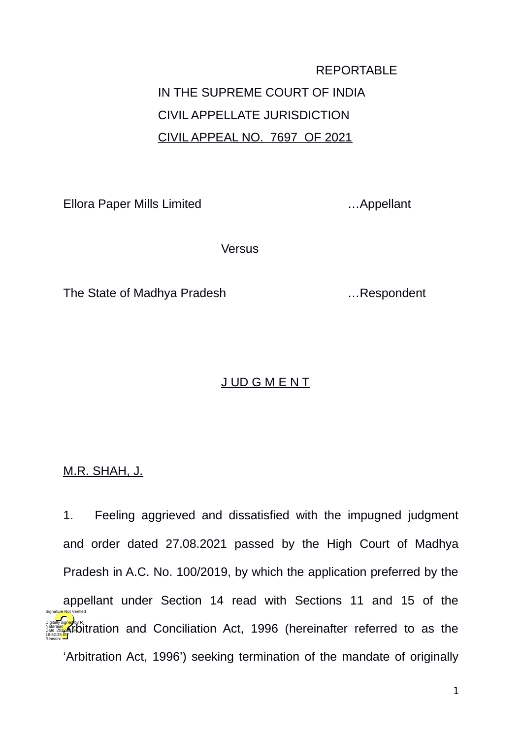# REPORTABLE IN THE SUPREME COURT OF INDIA CIVIL APPELLATE JURISDICTION CIVIL APPEAL NO. 7697 OF 2021

Ellora Paper Mills Limited …Appellant

**Versus** 

The State of Madhya Pradesh **Example 2.1** ... Respondent

# J UD G M E N T

M.R. SHAH, J.

1. Feeling aggrieved and dissatisfied with the impugned judgment and order dated 27.08.2021 passed by the High Court of Madhya Pradesh in A.C. No. 100/2019, by which the application preferred by the appellant under Section 14 read with Sections 11 and 15 of the **Digitally studied and Conciliation Act, 1996 (hereinafter referred to as the** 'Arbitration Act, 1996') seeking termination of the mandate of originally Natarajan Date: 2022.01.04 16:52:35 IST Reason: Signature Not Verified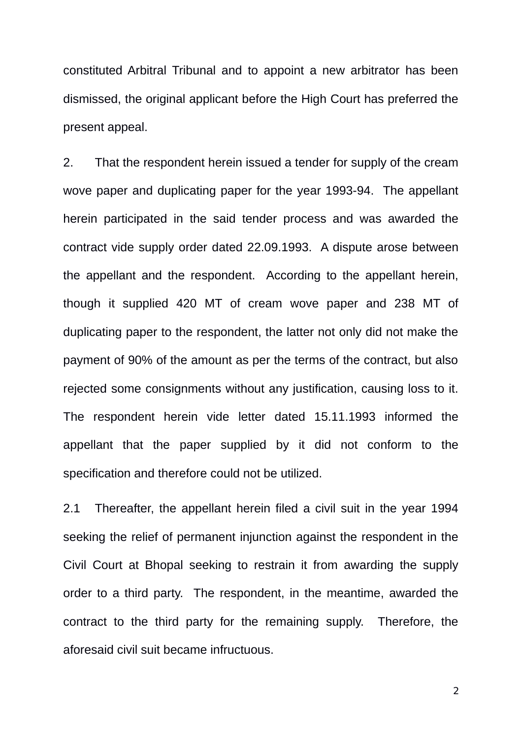constituted Arbitral Tribunal and to appoint a new arbitrator has been dismissed, the original applicant before the High Court has preferred the present appeal.

2. That the respondent herein issued a tender for supply of the cream wove paper and duplicating paper for the year 1993-94. The appellant herein participated in the said tender process and was awarded the contract vide supply order dated 22.09.1993. A dispute arose between the appellant and the respondent. According to the appellant herein, though it supplied 420 MT of cream wove paper and 238 MT of duplicating paper to the respondent, the latter not only did not make the payment of 90% of the amount as per the terms of the contract, but also rejected some consignments without any justification, causing loss to it. The respondent herein vide letter dated 15.11.1993 informed the appellant that the paper supplied by it did not conform to the specification and therefore could not be utilized.

2.1 Thereafter, the appellant herein filed a civil suit in the year 1994 seeking the relief of permanent injunction against the respondent in the Civil Court at Bhopal seeking to restrain it from awarding the supply order to a third party. The respondent, in the meantime, awarded the contract to the third party for the remaining supply. Therefore, the aforesaid civil suit became infructuous.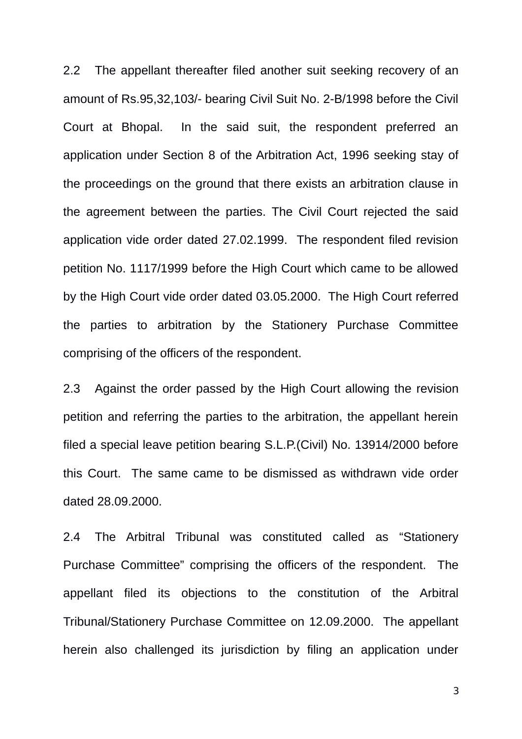2.2 The appellant thereafter filed another suit seeking recovery of an amount of Rs.95,32,103/- bearing Civil Suit No. 2-B/1998 before the Civil Court at Bhopal. In the said suit, the respondent preferred an application under Section 8 of the Arbitration Act, 1996 seeking stay of the proceedings on the ground that there exists an arbitration clause in the agreement between the parties. The Civil Court rejected the said application vide order dated 27.02.1999. The respondent filed revision petition No. 1117/1999 before the High Court which came to be allowed by the High Court vide order dated 03.05.2000. The High Court referred the parties to arbitration by the Stationery Purchase Committee comprising of the officers of the respondent.

2.3 Against the order passed by the High Court allowing the revision petition and referring the parties to the arbitration, the appellant herein filed a special leave petition bearing S.L.P.(Civil) No. 13914/2000 before this Court. The same came to be dismissed as withdrawn vide order dated 28.09.2000.

2.4 The Arbitral Tribunal was constituted called as "Stationery Purchase Committee" comprising the officers of the respondent. The appellant filed its objections to the constitution of the Arbitral Tribunal/Stationery Purchase Committee on 12.09.2000. The appellant herein also challenged its jurisdiction by filing an application under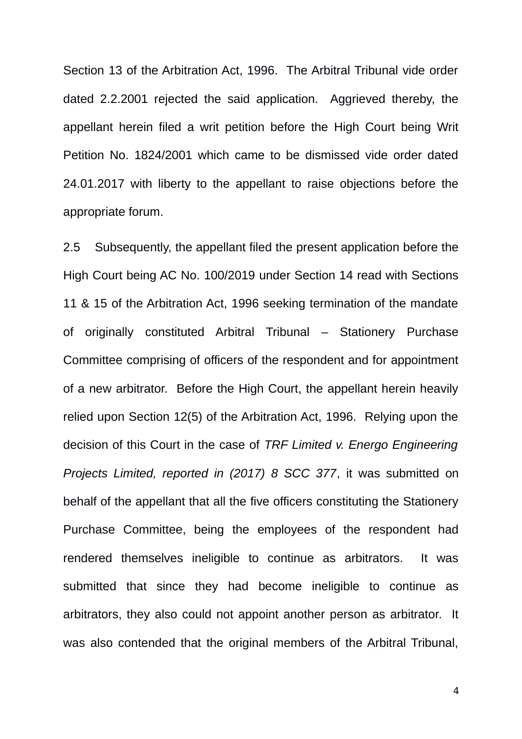Section 13 of the Arbitration Act, 1996. The Arbitral Tribunal vide order dated 2.2.2001 rejected the said application. Aggrieved thereby, the appellant herein filed a writ petition before the High Court being Writ Petition No. 1824/2001 which came to be dismissed vide order dated 24.01.2017 with liberty to the appellant to raise objections before the appropriate forum.

2.5 Subsequently, the appellant filed the present application before the High Court being AC No. 100/2019 under Section 14 read with Sections 11 & 15 of the Arbitration Act, 1996 seeking termination of the mandate of originally constituted Arbitral Tribunal – Stationery Purchase Committee comprising of officers of the respondent and for appointment of a new arbitrator. Before the High Court, the appellant herein heavily relied upon Section 12(5) of the Arbitration Act, 1996. Relying upon the decision of this Court in the case of *TRF Limited v. Energo Engineering Projects Limited, reported in (2017) 8 SCC 377*, it was submitted on behalf of the appellant that all the five officers constituting the Stationery Purchase Committee, being the employees of the respondent had rendered themselves ineligible to continue as arbitrators. It was submitted that since they had become ineligible to continue as arbitrators, they also could not appoint another person as arbitrator. It was also contended that the original members of the Arbitral Tribunal,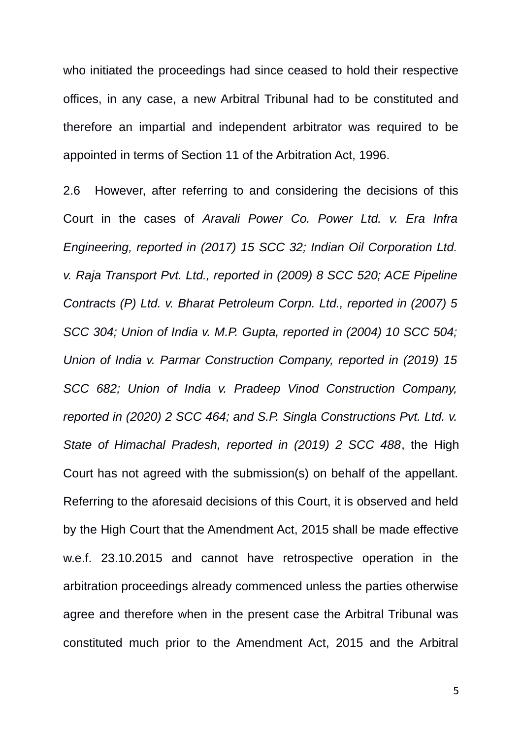who initiated the proceedings had since ceased to hold their respective offices, in any case, a new Arbitral Tribunal had to be constituted and therefore an impartial and independent arbitrator was required to be appointed in terms of Section 11 of the Arbitration Act, 1996.

2.6 However, after referring to and considering the decisions of this Court in the cases of *Aravali Power Co. Power Ltd. v. Era Infra Engineering, reported in (2017) 15 SCC 32; Indian Oil Corporation Ltd. v. Raja Transport Pvt. Ltd., reported in (2009) 8 SCC 520; ACE Pipeline Contracts (P) Ltd. v. Bharat Petroleum Corpn. Ltd., reported in (2007) 5 SCC 304; Union of India v. M.P. Gupta, reported in (2004) 10 SCC 504; Union of India v. Parmar Construction Company, reported in (2019) 15 SCC 682; Union of India v. Pradeep Vinod Construction Company, reported in (2020) 2 SCC 464; and S.P. Singla Constructions Pvt. Ltd. v. State of Himachal Pradesh, reported in (2019) 2 SCC 488*, the High Court has not agreed with the submission(s) on behalf of the appellant. Referring to the aforesaid decisions of this Court, it is observed and held by the High Court that the Amendment Act, 2015 shall be made effective w.e.f. 23.10.2015 and cannot have retrospective operation in the arbitration proceedings already commenced unless the parties otherwise agree and therefore when in the present case the Arbitral Tribunal was constituted much prior to the Amendment Act, 2015 and the Arbitral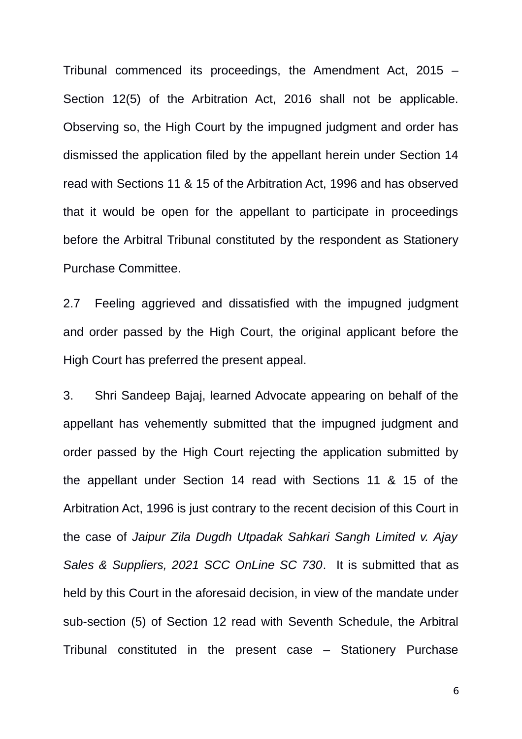Tribunal commenced its proceedings, the Amendment Act, 2015 – Section 12(5) of the Arbitration Act, 2016 shall not be applicable. Observing so, the High Court by the impugned judgment and order has dismissed the application filed by the appellant herein under Section 14 read with Sections 11 & 15 of the Arbitration Act, 1996 and has observed that it would be open for the appellant to participate in proceedings before the Arbitral Tribunal constituted by the respondent as Stationery Purchase Committee.

2.7 Feeling aggrieved and dissatisfied with the impugned judgment and order passed by the High Court, the original applicant before the High Court has preferred the present appeal.

3. Shri Sandeep Bajaj, learned Advocate appearing on behalf of the appellant has vehemently submitted that the impugned judgment and order passed by the High Court rejecting the application submitted by the appellant under Section 14 read with Sections 11 & 15 of the Arbitration Act, 1996 is just contrary to the recent decision of this Court in the case of *Jaipur Zila Dugdh Utpadak Sahkari Sangh Limited v. Ajay Sales & Suppliers, 2021 SCC OnLine SC 730*. It is submitted that as held by this Court in the aforesaid decision, in view of the mandate under sub-section (5) of Section 12 read with Seventh Schedule, the Arbitral Tribunal constituted in the present case – Stationery Purchase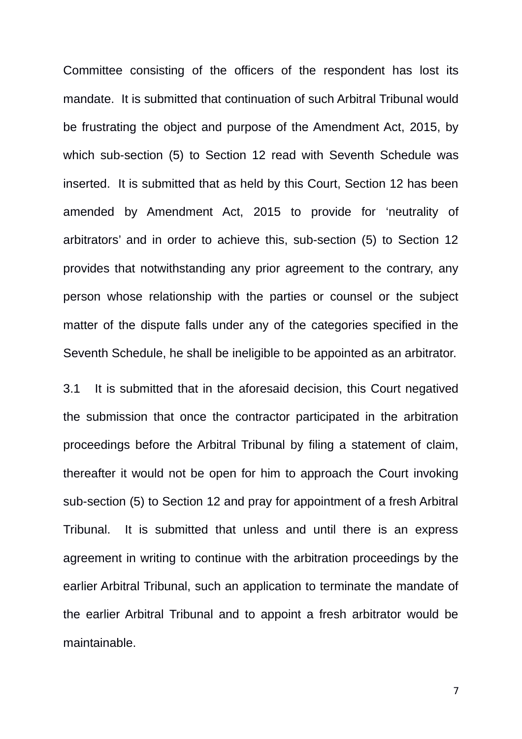Committee consisting of the officers of the respondent has lost its mandate. It is submitted that continuation of such Arbitral Tribunal would be frustrating the object and purpose of the Amendment Act, 2015, by which sub-section (5) to Section 12 read with Seventh Schedule was inserted. It is submitted that as held by this Court, Section 12 has been amended by Amendment Act, 2015 to provide for 'neutrality of arbitrators' and in order to achieve this, sub-section (5) to Section 12 provides that notwithstanding any prior agreement to the contrary, any person whose relationship with the parties or counsel or the subject matter of the dispute falls under any of the categories specified in the Seventh Schedule, he shall be ineligible to be appointed as an arbitrator.

3.1 It is submitted that in the aforesaid decision, this Court negatived the submission that once the contractor participated in the arbitration proceedings before the Arbitral Tribunal by filing a statement of claim, thereafter it would not be open for him to approach the Court invoking sub-section (5) to Section 12 and pray for appointment of a fresh Arbitral Tribunal. It is submitted that unless and until there is an express agreement in writing to continue with the arbitration proceedings by the earlier Arbitral Tribunal, such an application to terminate the mandate of the earlier Arbitral Tribunal and to appoint a fresh arbitrator would be maintainable.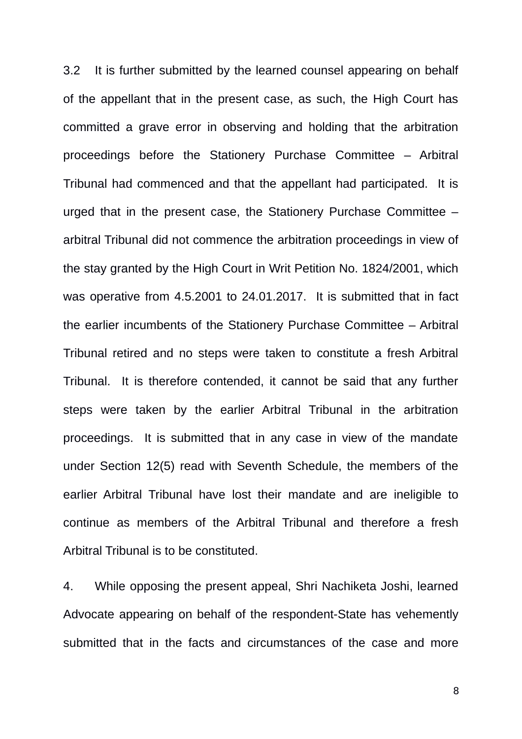3.2 It is further submitted by the learned counsel appearing on behalf of the appellant that in the present case, as such, the High Court has committed a grave error in observing and holding that the arbitration proceedings before the Stationery Purchase Committee – Arbitral Tribunal had commenced and that the appellant had participated. It is urged that in the present case, the Stationery Purchase Committee – arbitral Tribunal did not commence the arbitration proceedings in view of the stay granted by the High Court in Writ Petition No. 1824/2001, which was operative from 4.5.2001 to 24.01.2017. It is submitted that in fact the earlier incumbents of the Stationery Purchase Committee – Arbitral Tribunal retired and no steps were taken to constitute a fresh Arbitral Tribunal. It is therefore contended, it cannot be said that any further steps were taken by the earlier Arbitral Tribunal in the arbitration proceedings. It is submitted that in any case in view of the mandate under Section 12(5) read with Seventh Schedule, the members of the earlier Arbitral Tribunal have lost their mandate and are ineligible to continue as members of the Arbitral Tribunal and therefore a fresh Arbitral Tribunal is to be constituted.

4. While opposing the present appeal, Shri Nachiketa Joshi, learned Advocate appearing on behalf of the respondent-State has vehemently submitted that in the facts and circumstances of the case and more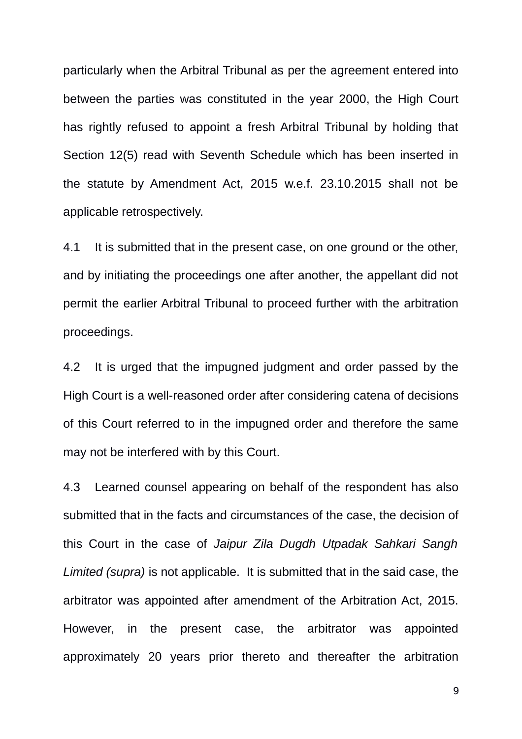particularly when the Arbitral Tribunal as per the agreement entered into between the parties was constituted in the year 2000, the High Court has rightly refused to appoint a fresh Arbitral Tribunal by holding that Section 12(5) read with Seventh Schedule which has been inserted in the statute by Amendment Act, 2015 w.e.f. 23.10.2015 shall not be applicable retrospectively.

4.1 It is submitted that in the present case, on one ground or the other, and by initiating the proceedings one after another, the appellant did not permit the earlier Arbitral Tribunal to proceed further with the arbitration proceedings.

4.2 It is urged that the impugned judgment and order passed by the High Court is a well-reasoned order after considering catena of decisions of this Court referred to in the impugned order and therefore the same may not be interfered with by this Court.

4.3 Learned counsel appearing on behalf of the respondent has also submitted that in the facts and circumstances of the case, the decision of this Court in the case of *Jaipur Zila Dugdh Utpadak Sahkari Sangh Limited (supra)* is not applicable. It is submitted that in the said case, the arbitrator was appointed after amendment of the Arbitration Act, 2015. However, in the present case, the arbitrator was appointed approximately 20 years prior thereto and thereafter the arbitration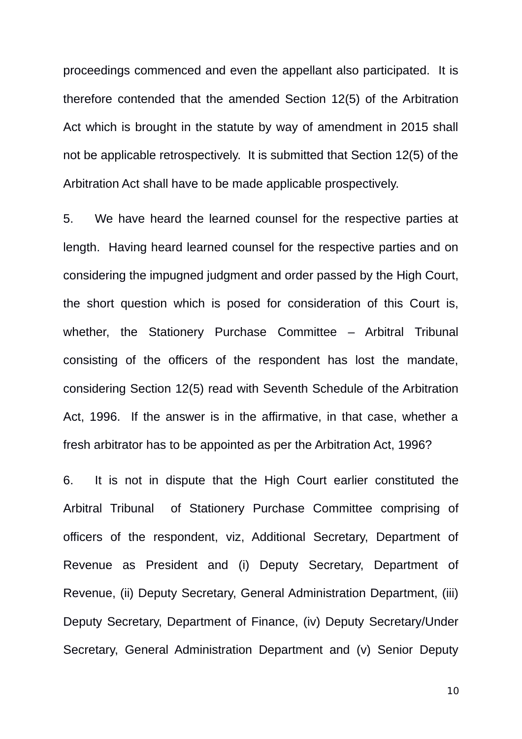proceedings commenced and even the appellant also participated. It is therefore contended that the amended Section 12(5) of the Arbitration Act which is brought in the statute by way of amendment in 2015 shall not be applicable retrospectively. It is submitted that Section 12(5) of the Arbitration Act shall have to be made applicable prospectively.

5. We have heard the learned counsel for the respective parties at length. Having heard learned counsel for the respective parties and on considering the impugned judgment and order passed by the High Court, the short question which is posed for consideration of this Court is, whether, the Stationery Purchase Committee – Arbitral Tribunal consisting of the officers of the respondent has lost the mandate, considering Section 12(5) read with Seventh Schedule of the Arbitration Act, 1996. If the answer is in the affirmative, in that case, whether a fresh arbitrator has to be appointed as per the Arbitration Act, 1996?

6. It is not in dispute that the High Court earlier constituted the Arbitral Tribunal of Stationery Purchase Committee comprising of officers of the respondent, viz, Additional Secretary, Department of Revenue as President and (i) Deputy Secretary, Department of Revenue, (ii) Deputy Secretary, General Administration Department, (iii) Deputy Secretary, Department of Finance, (iv) Deputy Secretary/Under Secretary, General Administration Department and (v) Senior Deputy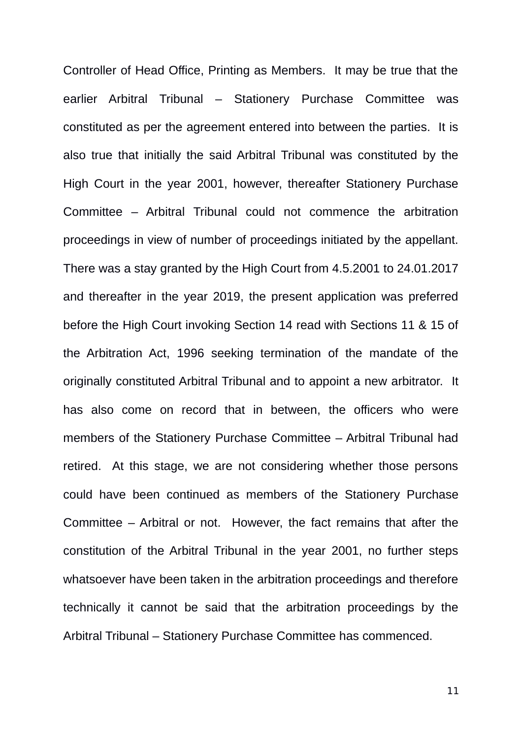Controller of Head Office, Printing as Members. It may be true that the earlier Arbitral Tribunal – Stationery Purchase Committee was constituted as per the agreement entered into between the parties. It is also true that initially the said Arbitral Tribunal was constituted by the High Court in the year 2001, however, thereafter Stationery Purchase Committee – Arbitral Tribunal could not commence the arbitration proceedings in view of number of proceedings initiated by the appellant. There was a stay granted by the High Court from 4.5.2001 to 24.01.2017 and thereafter in the year 2019, the present application was preferred before the High Court invoking Section 14 read with Sections 11 & 15 of the Arbitration Act, 1996 seeking termination of the mandate of the originally constituted Arbitral Tribunal and to appoint a new arbitrator. It has also come on record that in between, the officers who were members of the Stationery Purchase Committee – Arbitral Tribunal had retired. At this stage, we are not considering whether those persons could have been continued as members of the Stationery Purchase Committee – Arbitral or not. However, the fact remains that after the constitution of the Arbitral Tribunal in the year 2001, no further steps whatsoever have been taken in the arbitration proceedings and therefore technically it cannot be said that the arbitration proceedings by the Arbitral Tribunal – Stationery Purchase Committee has commenced.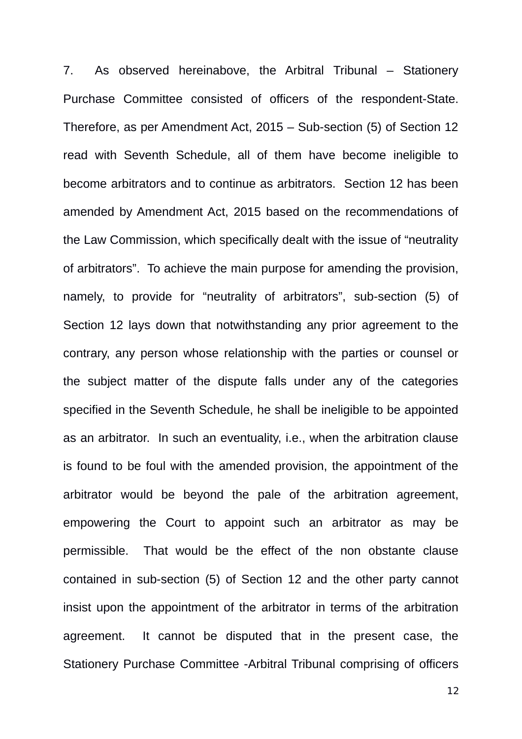7. As observed hereinabove, the Arbitral Tribunal – Stationery Purchase Committee consisted of officers of the respondent-State. Therefore, as per Amendment Act, 2015 – Sub-section (5) of Section 12 read with Seventh Schedule, all of them have become ineligible to become arbitrators and to continue as arbitrators. Section 12 has been amended by Amendment Act, 2015 based on the recommendations of the Law Commission, which specifically dealt with the issue of "neutrality of arbitrators". To achieve the main purpose for amending the provision, namely, to provide for "neutrality of arbitrators", sub-section (5) of Section 12 lays down that notwithstanding any prior agreement to the contrary, any person whose relationship with the parties or counsel or the subject matter of the dispute falls under any of the categories specified in the Seventh Schedule, he shall be ineligible to be appointed as an arbitrator. In such an eventuality, i.e., when the arbitration clause is found to be foul with the amended provision, the appointment of the arbitrator would be beyond the pale of the arbitration agreement, empowering the Court to appoint such an arbitrator as may be permissible. That would be the effect of the non obstante clause contained in sub-section (5) of Section 12 and the other party cannot insist upon the appointment of the arbitrator in terms of the arbitration agreement. It cannot be disputed that in the present case, the Stationery Purchase Committee -Arbitral Tribunal comprising of officers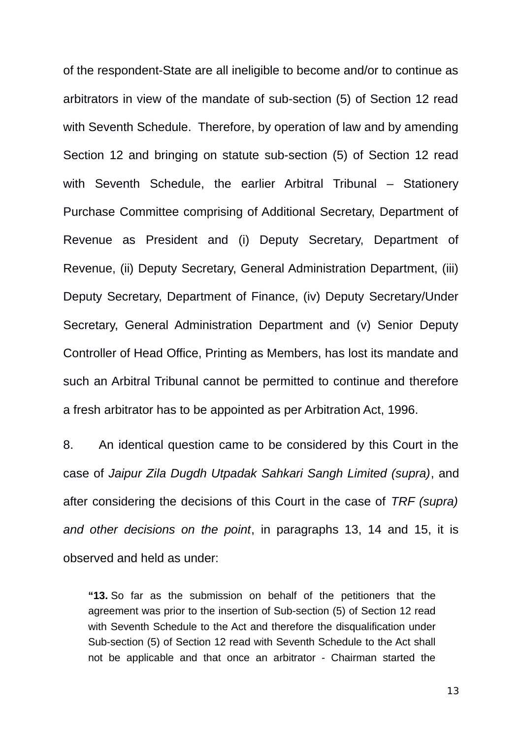of the respondent-State are all ineligible to become and/or to continue as arbitrators in view of the mandate of sub-section (5) of Section 12 read with Seventh Schedule. Therefore, by operation of law and by amending Section 12 and bringing on statute sub-section (5) of Section 12 read with Seventh Schedule, the earlier Arbitral Tribunal - Stationery Purchase Committee comprising of Additional Secretary, Department of Revenue as President and (i) Deputy Secretary, Department of Revenue, (ii) Deputy Secretary, General Administration Department, (iii) Deputy Secretary, Department of Finance, (iv) Deputy Secretary/Under Secretary, General Administration Department and (v) Senior Deputy Controller of Head Office, Printing as Members, has lost its mandate and such an Arbitral Tribunal cannot be permitted to continue and therefore a fresh arbitrator has to be appointed as per Arbitration Act, 1996.

8. An identical question came to be considered by this Court in the case of *Jaipur Zila Dugdh Utpadak Sahkari Sangh Limited (supra)*, and after considering the decisions of this Court in the case of *TRF (supra) and other decisions on the point*, in paragraphs 13, 14 and 15, it is observed and held as under:

**"13.** So far as the submission on behalf of the petitioners that the agreement was prior to the insertion of Sub-section (5) of Section 12 read with Seventh Schedule to the Act and therefore the disqualification under Sub-section (5) of Section 12 read with Seventh Schedule to the Act shall not be applicable and that once an arbitrator - Chairman started the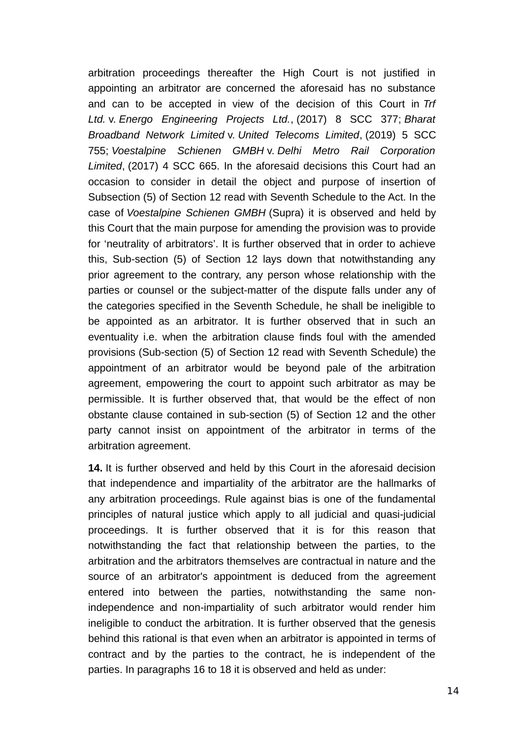arbitration proceedings thereafter the High Court is not justified in appointing an arbitrator are concerned the aforesaid has no substance and can to be accepted in view of the decision of this Court in *Trf Ltd.* v. *Energo Engineering Projects Ltd.*, (2017) 8 SCC 377; *Bharat Broadband Network Limited* v. *United Telecoms Limited*, (2019) 5 SCC 755; *Voestalpine Schienen GMBH* v. *Delhi Metro Rail Corporation Limited*, (2017) 4 SCC 665. In the aforesaid decisions this Court had an occasion to consider in detail the object and purpose of insertion of Subsection (5) of Section 12 read with Seventh Schedule to the Act. In the case of *Voestalpine Schienen GMBH* (Supra) it is observed and held by this Court that the main purpose for amending the provision was to provide for 'neutrality of arbitrators'. It is further observed that in order to achieve this, Sub-section (5) of Section 12 lays down that notwithstanding any prior agreement to the contrary, any person whose relationship with the parties or counsel or the subject-matter of the dispute falls under any of the categories specified in the Seventh Schedule, he shall be ineligible to be appointed as an arbitrator. It is further observed that in such an eventuality i.e. when the arbitration clause finds foul with the amended provisions (Sub-section (5) of Section 12 read with Seventh Schedule) the appointment of an arbitrator would be beyond pale of the arbitration agreement, empowering the court to appoint such arbitrator as may be permissible. It is further observed that, that would be the effect of non obstante clause contained in sub-section (5) of Section 12 and the other party cannot insist on appointment of the arbitrator in terms of the arbitration agreement.

**14.** It is further observed and held by this Court in the aforesaid decision that independence and impartiality of the arbitrator are the hallmarks of any arbitration proceedings. Rule against bias is one of the fundamental principles of natural justice which apply to all judicial and quasi-judicial proceedings. It is further observed that it is for this reason that notwithstanding the fact that relationship between the parties, to the arbitration and the arbitrators themselves are contractual in nature and the source of an arbitrator's appointment is deduced from the agreement entered into between the parties, notwithstanding the same nonindependence and non-impartiality of such arbitrator would render him ineligible to conduct the arbitration. It is further observed that the genesis behind this rational is that even when an arbitrator is appointed in terms of contract and by the parties to the contract, he is independent of the parties. In paragraphs 16 to 18 it is observed and held as under: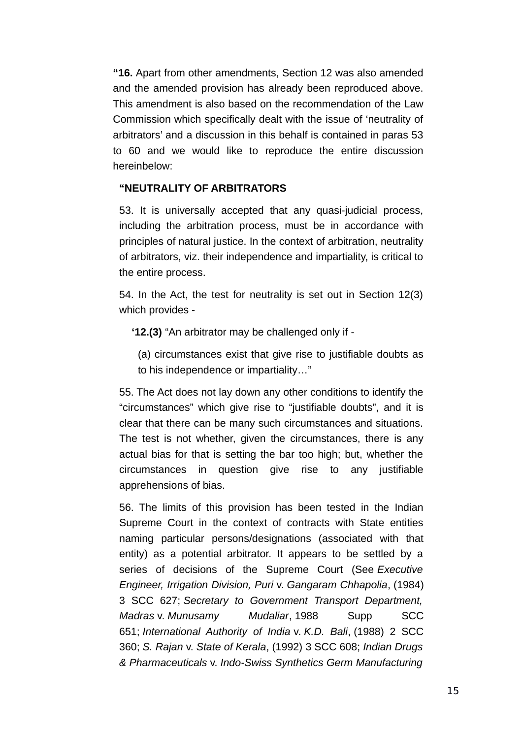**"16.** Apart from other amendments, Section 12 was also amended and the amended provision has already been reproduced above. This amendment is also based on the recommendation of the Law Commission which specifically dealt with the issue of 'neutrality of arbitrators' and a discussion in this behalf is contained in paras 53 to 60 and we would like to reproduce the entire discussion hereinbelow:

## **"NEUTRALITY OF ARBITRATORS**

53. It is universally accepted that any quasi-judicial process, including the arbitration process, must be in accordance with principles of natural justice. In the context of arbitration, neutrality of arbitrators, viz. their independence and impartiality, is critical to the entire process.

54. In the Act, the test for neutrality is set out in Section 12(3) which provides -

**'12.(3)** "An arbitrator may be challenged only if -

(a) circumstances exist that give rise to justifiable doubts as to his independence or impartiality…"

55. The Act does not lay down any other conditions to identify the "circumstances" which give rise to "justifiable doubts", and it is clear that there can be many such circumstances and situations. The test is not whether, given the circumstances, there is any actual bias for that is setting the bar too high; but, whether the circumstances in question give rise to any justifiable apprehensions of bias.

56. The limits of this provision has been tested in the Indian Supreme Court in the context of contracts with State entities naming particular persons/designations (associated with that entity) as a potential arbitrator. It appears to be settled by a series of decisions of the Supreme Court (See *Executive Engineer, Irrigation Division, Puri* v. *Gangaram Chhapolia*, (1984) 3 SCC 627; *Secretary to Government Transport Department, Madras* v. *Munusamy Mudaliar*, 1988 Supp SCC 651; *International Authority of India* v. *K.D. Bali*, (1988) 2 SCC 360; *S. Rajan* v. *State of Kerala*, (1992) 3 SCC 608; *Indian Drugs & Pharmaceuticals* v. *Indo-Swiss Synthetics Germ Manufacturing*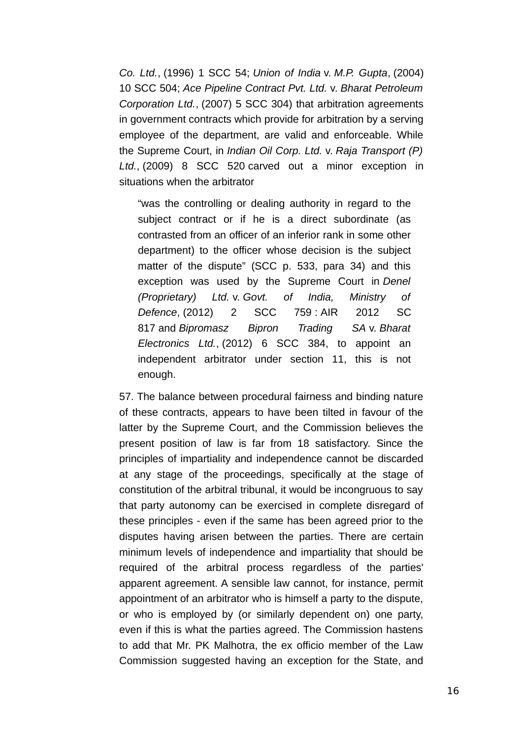*Co. Ltd.*, (1996) 1 SCC 54; *Union of India* v. *M.P. Gupta*, (2004) 10 SCC 504; *Ace Pipeline Contract Pvt. Ltd.* v. *Bharat Petroleum Corporation Ltd.*, (2007) 5 SCC 304) that arbitration agreements in government contracts which provide for arbitration by a serving employee of the department, are valid and enforceable. While the Supreme Court, in *Indian Oil Corp. Ltd.* v. *Raja Transport (P) Ltd.*, (2009) 8 SCC 520 carved out a minor exception in situations when the arbitrator

"was the controlling or dealing authority in regard to the subject contract or if he is a direct subordinate (as contrasted from an officer of an inferior rank in some other department) to the officer whose decision is the subject matter of the dispute" (SCC p. 533, para 34) and this exception was used by the Supreme Court in *Denel (Proprietary) Ltd.* v. *Govt. of India, Ministry of Defence*, (2012) 2 SCC 759 : AIR 2012 SC 817 and *Bipromasz Bipron Trading SA* v. *Bharat Electronics Ltd.*, (2012) 6 SCC 384, to appoint an independent arbitrator under section 11, this is not enough.

57. The balance between procedural fairness and binding nature of these contracts, appears to have been tilted in favour of the latter by the Supreme Court, and the Commission believes the present position of law is far from 18 satisfactory. Since the principles of impartiality and independence cannot be discarded at any stage of the proceedings, specifically at the stage of constitution of the arbitral tribunal, it would be incongruous to say that party autonomy can be exercised in complete disregard of these principles - even if the same has been agreed prior to the disputes having arisen between the parties. There are certain minimum levels of independence and impartiality that should be required of the arbitral process regardless of the parties' apparent agreement. A sensible law cannot, for instance, permit appointment of an arbitrator who is himself a party to the dispute, or who is employed by (or similarly dependent on) one party, even if this is what the parties agreed. The Commission hastens to add that Mr. PK Malhotra, the ex officio member of the Law Commission suggested having an exception for the State, and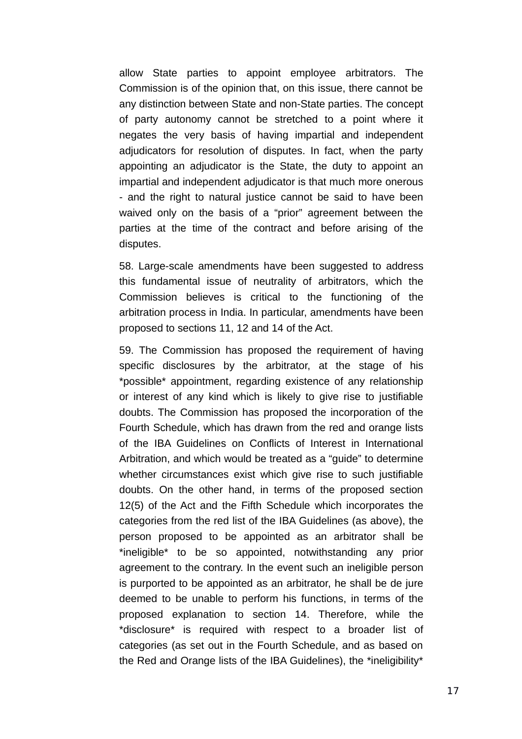allow State parties to appoint employee arbitrators. The Commission is of the opinion that, on this issue, there cannot be any distinction between State and non-State parties. The concept of party autonomy cannot be stretched to a point where it negates the very basis of having impartial and independent adjudicators for resolution of disputes. In fact, when the party appointing an adjudicator is the State, the duty to appoint an impartial and independent adjudicator is that much more onerous - and the right to natural justice cannot be said to have been waived only on the basis of a "prior" agreement between the parties at the time of the contract and before arising of the disputes.

58. Large-scale amendments have been suggested to address this fundamental issue of neutrality of arbitrators, which the Commission believes is critical to the functioning of the arbitration process in India. In particular, amendments have been proposed to sections 11, 12 and 14 of the Act.

59. The Commission has proposed the requirement of having specific disclosures by the arbitrator, at the stage of his \*possible\* appointment, regarding existence of any relationship or interest of any kind which is likely to give rise to justifiable doubts. The Commission has proposed the incorporation of the Fourth Schedule, which has drawn from the red and orange lists of the IBA Guidelines on Conflicts of Interest in International Arbitration, and which would be treated as a "guide" to determine whether circumstances exist which give rise to such justifiable doubts. On the other hand, in terms of the proposed section 12(5) of the Act and the Fifth Schedule which incorporates the categories from the red list of the IBA Guidelines (as above), the person proposed to be appointed as an arbitrator shall be \*ineligible\* to be so appointed, notwithstanding any prior agreement to the contrary. In the event such an ineligible person is purported to be appointed as an arbitrator, he shall be de jure deemed to be unable to perform his functions, in terms of the proposed explanation to section 14. Therefore, while the \*disclosure\* is required with respect to a broader list of categories (as set out in the Fourth Schedule, and as based on the Red and Orange lists of the IBA Guidelines), the \*ineligibility\*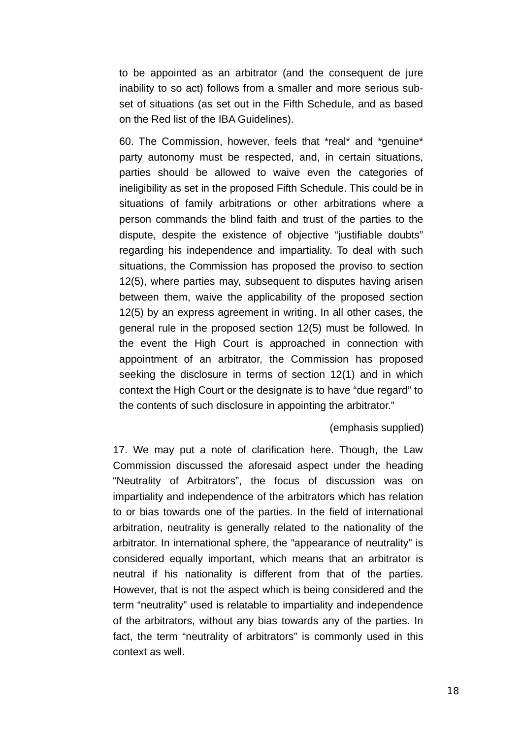to be appointed as an arbitrator (and the consequent de jure inability to so act) follows from a smaller and more serious subset of situations (as set out in the Fifth Schedule, and as based on the Red list of the IBA Guidelines).

60. The Commission, however, feels that \*real\* and \*genuine\* party autonomy must be respected, and, in certain situations, parties should be allowed to waive even the categories of ineligibility as set in the proposed Fifth Schedule. This could be in situations of family arbitrations or other arbitrations where a person commands the blind faith and trust of the parties to the dispute, despite the existence of objective "justifiable doubts" regarding his independence and impartiality. To deal with such situations, the Commission has proposed the proviso to section 12(5), where parties may, subsequent to disputes having arisen between them, waive the applicability of the proposed section 12(5) by an express agreement in writing. In all other cases, the general rule in the proposed section 12(5) must be followed. In the event the High Court is approached in connection with appointment of an arbitrator, the Commission has proposed seeking the disclosure in terms of section 12(1) and in which context the High Court or the designate is to have "due regard" to the contents of such disclosure in appointing the arbitrator."

## (emphasis supplied)

17. We may put a note of clarification here. Though, the Law Commission discussed the aforesaid aspect under the heading "Neutrality of Arbitrators", the focus of discussion was on impartiality and independence of the arbitrators which has relation to or bias towards one of the parties. In the field of international arbitration, neutrality is generally related to the nationality of the arbitrator. In international sphere, the "appearance of neutrality" is considered equally important, which means that an arbitrator is neutral if his nationality is different from that of the parties. However, that is not the aspect which is being considered and the term "neutrality" used is relatable to impartiality and independence of the arbitrators, without any bias towards any of the parties. In fact, the term "neutrality of arbitrators" is commonly used in this context as well.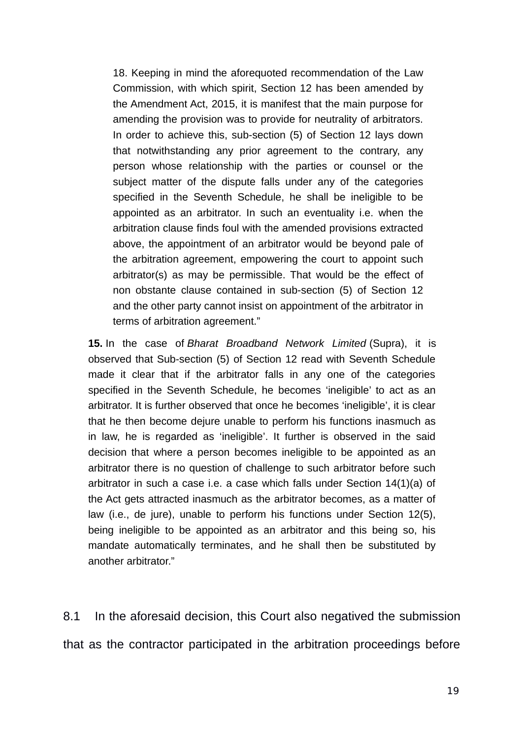18. Keeping in mind the aforequoted recommendation of the Law Commission, with which spirit, Section 12 has been amended by the Amendment Act, 2015, it is manifest that the main purpose for amending the provision was to provide for neutrality of arbitrators. In order to achieve this, sub-section (5) of Section 12 lays down that notwithstanding any prior agreement to the contrary, any person whose relationship with the parties or counsel or the subject matter of the dispute falls under any of the categories specified in the Seventh Schedule, he shall be ineligible to be appointed as an arbitrator. In such an eventuality i.e. when the arbitration clause finds foul with the amended provisions extracted above, the appointment of an arbitrator would be beyond pale of the arbitration agreement, empowering the court to appoint such arbitrator(s) as may be permissible. That would be the effect of non obstante clause contained in sub-section (5) of Section 12 and the other party cannot insist on appointment of the arbitrator in terms of arbitration agreement."

**15.** In the case of *Bharat Broadband Network Limited* (Supra), it is observed that Sub-section (5) of Section 12 read with Seventh Schedule made it clear that if the arbitrator falls in any one of the categories specified in the Seventh Schedule, he becomes 'ineligible' to act as an arbitrator. It is further observed that once he becomes 'ineligible', it is clear that he then become dejure unable to perform his functions inasmuch as in law, he is regarded as 'ineligible'. It further is observed in the said decision that where a person becomes ineligible to be appointed as an arbitrator there is no question of challenge to such arbitrator before such arbitrator in such a case i.e. a case which falls under Section 14(1)(a) of the Act gets attracted inasmuch as the arbitrator becomes, as a matter of law (i.e., de jure), unable to perform his functions under Section 12(5), being ineligible to be appointed as an arbitrator and this being so, his mandate automatically terminates, and he shall then be substituted by another arbitrator."

8.1 In the aforesaid decision, this Court also negatived the submission that as the contractor participated in the arbitration proceedings before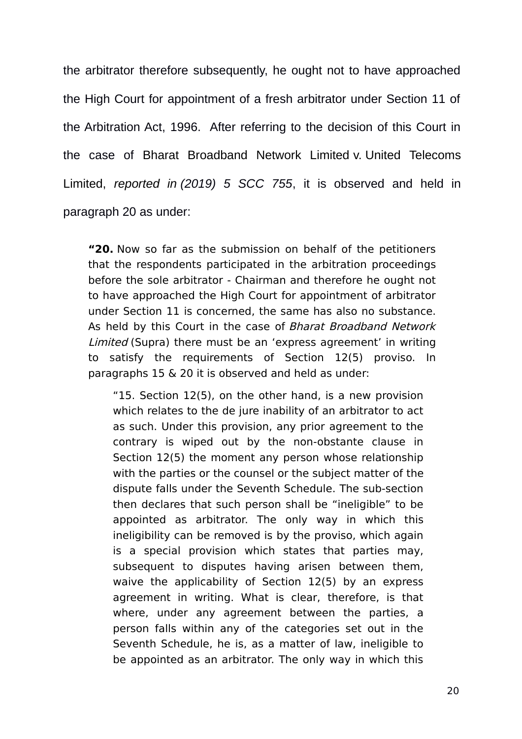the arbitrator therefore subsequently, he ought not to have approached the High Court for appointment of a fresh arbitrator under Section 11 of the Arbitration Act, 1996. After referring to the decision of this Court in the case of Bharat Broadband Network Limited v. United Telecoms Limited, *reported in (2019) 5 SCC 755*, it is observed and held in paragraph 20 as under:

**"20.** Now so far as the submission on behalf of the petitioners that the respondents participated in the arbitration proceedings before the sole arbitrator - Chairman and therefore he ought not to have approached the High Court for appointment of arbitrator under Section 11 is concerned, the same has also no substance. As held by this Court in the case of Bharat Broadband Network Limited (Supra) there must be an 'express agreement' in writing to satisfy the requirements of Section 12(5) proviso. In paragraphs 15 & 20 it is observed and held as under:

"15. Section 12(5), on the other hand, is a new provision which relates to the de jure inability of an arbitrator to act as such. Under this provision, any prior agreement to the contrary is wiped out by the non-obstante clause in Section 12(5) the moment any person whose relationship with the parties or the counsel or the subject matter of the dispute falls under the Seventh Schedule. The sub-section then declares that such person shall be "ineligible" to be appointed as arbitrator. The only way in which this ineligibility can be removed is by the proviso, which again is a special provision which states that parties may, subsequent to disputes having arisen between them, waive the applicability of Section 12(5) by an express agreement in writing. What is clear, therefore, is that where, under any agreement between the parties, a person falls within any of the categories set out in the Seventh Schedule, he is, as a matter of law, ineligible to be appointed as an arbitrator. The only way in which this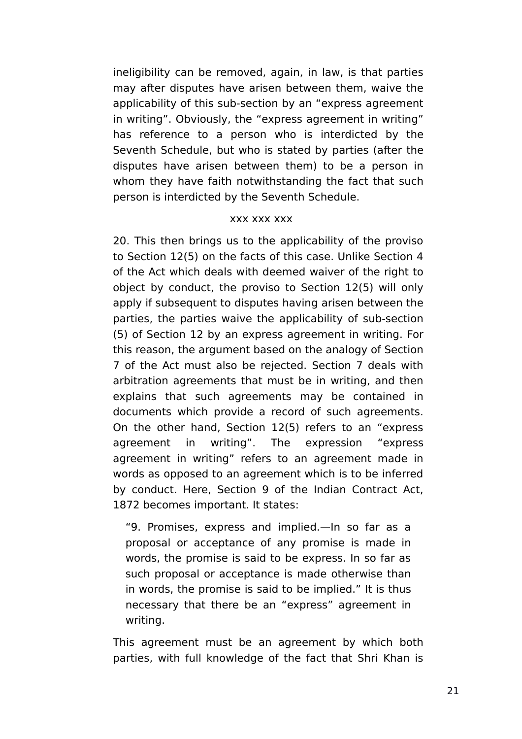ineligibility can be removed, again, in law, is that parties may after disputes have arisen between them, waive the applicability of this sub-section by an "express agreement in writing". Obviously, the "express agreement in writing" has reference to a person who is interdicted by the Seventh Schedule, but who is stated by parties (after the disputes have arisen between them) to be a person in whom they have faith notwithstanding the fact that such person is interdicted by the Seventh Schedule.

## xxx xxx xxx

20. This then brings us to the applicability of the proviso to Section 12(5) on the facts of this case. Unlike Section 4 of the Act which deals with deemed waiver of the right to object by conduct, the proviso to Section 12(5) will only apply if subsequent to disputes having arisen between the parties, the parties waive the applicability of sub-section (5) of Section 12 by an express agreement in writing. For this reason, the argument based on the analogy of Section 7 of the Act must also be rejected. Section 7 deals with arbitration agreements that must be in writing, and then explains that such agreements may be contained in documents which provide a record of such agreements. On the other hand, Section 12(5) refers to an "express agreement in writing". The expression "express agreement in writing" refers to an agreement made in words as opposed to an agreement which is to be inferred by conduct. Here, Section 9 of the Indian Contract Act, 1872 becomes important. It states:

"9. Promises, express and implied.—In so far as a proposal or acceptance of any promise is made in words, the promise is said to be express. In so far as such proposal or acceptance is made otherwise than in words, the promise is said to be implied." It is thus necessary that there be an "express" agreement in writing.

This agreement must be an agreement by which both parties, with full knowledge of the fact that Shri Khan is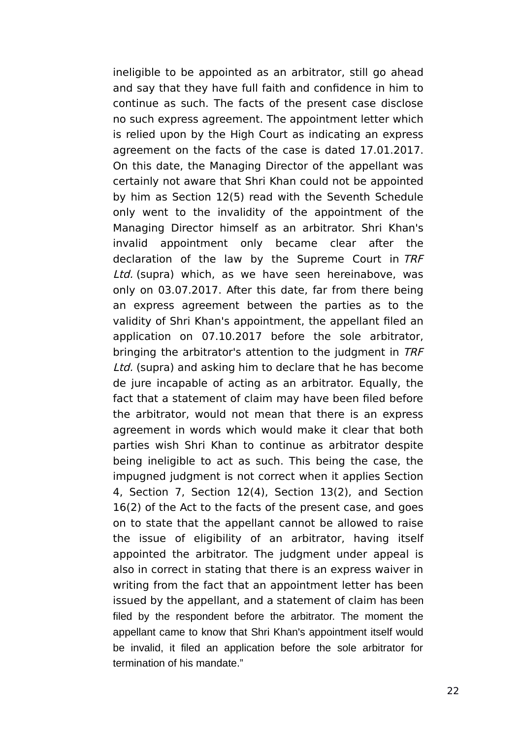ineligible to be appointed as an arbitrator, still go ahead and say that they have full faith and confidence in him to continue as such. The facts of the present case disclose no such express agreement. The appointment letter which is relied upon by the High Court as indicating an express agreement on the facts of the case is dated 17.01.2017. On this date, the Managing Director of the appellant was certainly not aware that Shri Khan could not be appointed by him as Section 12(5) read with the Seventh Schedule only went to the invalidity of the appointment of the Managing Director himself as an arbitrator. Shri Khan's invalid appointment only became clear after the declaration of the law by the Supreme Court in TRF Ltd. (supra) which, as we have seen hereinabove, was only on 03.07.2017. After this date, far from there being an express agreement between the parties as to the validity of Shri Khan's appointment, the appellant filed an application on 07.10.2017 before the sole arbitrator, bringing the arbitrator's attention to the judgment in TRF Ltd. (supra) and asking him to declare that he has become de jure incapable of acting as an arbitrator. Equally, the fact that a statement of claim may have been filed before the arbitrator, would not mean that there is an express agreement in words which would make it clear that both parties wish Shri Khan to continue as arbitrator despite being ineligible to act as such. This being the case, the impugned judgment is not correct when it applies Section 4, Section 7, Section 12(4), Section 13(2), and Section 16(2) of the Act to the facts of the present case, and goes on to state that the appellant cannot be allowed to raise the issue of eligibility of an arbitrator, having itself appointed the arbitrator. The judgment under appeal is also in correct in stating that there is an express waiver in writing from the fact that an appointment letter has been issued by the appellant, and a statement of claim has been filed by the respondent before the arbitrator. The moment the appellant came to know that Shri Khan's appointment itself would be invalid, it filed an application before the sole arbitrator for termination of his mandate."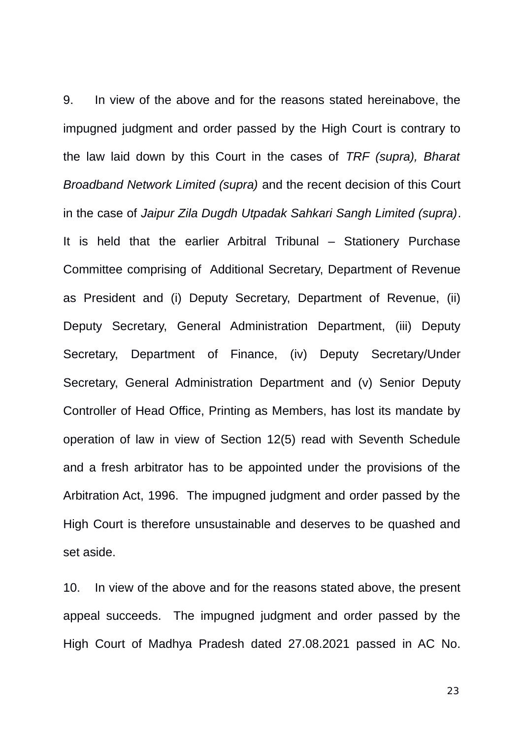9. In view of the above and for the reasons stated hereinabove, the impugned judgment and order passed by the High Court is contrary to the law laid down by this Court in the cases of *TRF (supra), Bharat Broadband Network Limited (supra)* and the recent decision of this Court in the case of *Jaipur Zila Dugdh Utpadak Sahkari Sangh Limited (supra)*. It is held that the earlier Arbitral Tribunal – Stationery Purchase Committee comprising of Additional Secretary, Department of Revenue as President and (i) Deputy Secretary, Department of Revenue, (ii) Deputy Secretary, General Administration Department, (iii) Deputy Secretary, Department of Finance, (iv) Deputy Secretary/Under Secretary, General Administration Department and (v) Senior Deputy Controller of Head Office, Printing as Members, has lost its mandate by operation of law in view of Section 12(5) read with Seventh Schedule and a fresh arbitrator has to be appointed under the provisions of the Arbitration Act, 1996. The impugned judgment and order passed by the High Court is therefore unsustainable and deserves to be quashed and set aside.

10. In view of the above and for the reasons stated above, the present appeal succeeds. The impugned judgment and order passed by the High Court of Madhya Pradesh dated 27.08.2021 passed in AC No.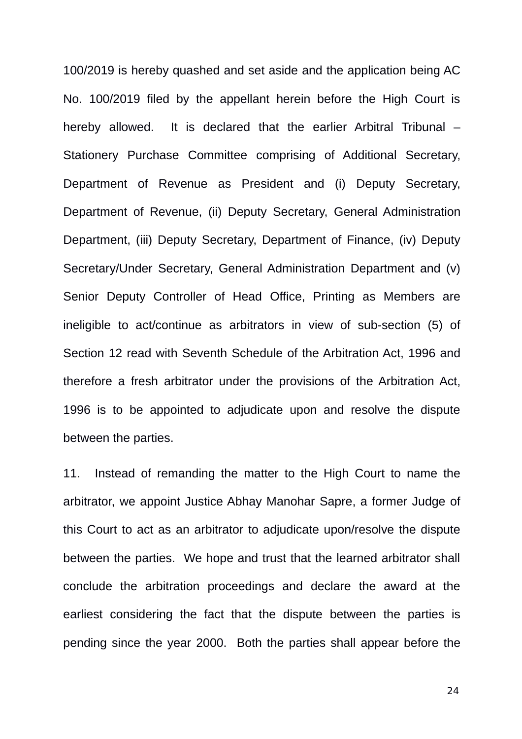100/2019 is hereby quashed and set aside and the application being AC No. 100/2019 filed by the appellant herein before the High Court is hereby allowed. It is declared that the earlier Arbitral Tribunal – Stationery Purchase Committee comprising of Additional Secretary, Department of Revenue as President and (i) Deputy Secretary, Department of Revenue, (ii) Deputy Secretary, General Administration Department, (iii) Deputy Secretary, Department of Finance, (iv) Deputy Secretary/Under Secretary, General Administration Department and (v) Senior Deputy Controller of Head Office, Printing as Members are ineligible to act/continue as arbitrators in view of sub-section (5) of Section 12 read with Seventh Schedule of the Arbitration Act, 1996 and therefore a fresh arbitrator under the provisions of the Arbitration Act, 1996 is to be appointed to adjudicate upon and resolve the dispute between the parties.

11. Instead of remanding the matter to the High Court to name the arbitrator, we appoint Justice Abhay Manohar Sapre, a former Judge of this Court to act as an arbitrator to adjudicate upon/resolve the dispute between the parties. We hope and trust that the learned arbitrator shall conclude the arbitration proceedings and declare the award at the earliest considering the fact that the dispute between the parties is pending since the year 2000. Both the parties shall appear before the